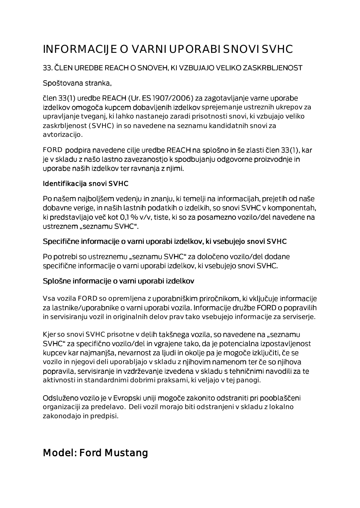# INFORMACIJE O VARNI UPORABI SNOVI SVHC

#### 33. ČLEN UREDBE REACH O SNOVEH, KI VZBUJAJO VELIKO ZASKRBLJENOST

#### Spoštovana stranka,

člen 33(1) uredbe REACH (Ur. ES 1907/2006) za zagotavljanje varne uporabe izdelkov omogoča kupcem dobavljenih izdelkov sprejemanje ustreznih ukrepov za upravljanje tveganj, ki lahko nastanejo zaradi prisotnosti snovi, ki vzbujajo veliko zaskrbljenost (SVHC) in so navedene na seznamu kandidatnih snovi za avtorizacijo.

FORD podpira navedene cilje uredbe REACH na splošno in še zlasti člen 33(1), kar je v skladu z našo lastno zavezanostjo k spodbujanju odgovorne proizvodnje in uporabe naših izdelkov ter ravnanja z njimi.

#### Identifikacija snovi SVHC

Po našem najboljšem vedenju in znanju, ki temelji na informacijah, prejetih od naše dobavne verige, in naših lastnih podatkih o izdelkih, so snovi SVHC v komponentah, ki predstavljajo več kot 0,1 % v/v, tiste, ki so za posamezno vozilo/del navedene na ustreznem "seznamu SVHC".

#### Specifične informacije o varni uporabi izdelkov, ki vsebujejo snovi SVHC

Po potrebi so ustreznemu "seznamu SVHC" za določeno vozilo/del dodane specifične informacije o varni uporabi izdelkov, ki vsebujejo snovi SVHC.

#### Splošne informacije o varni uporabi izdelkov

Vsa vozila FORD so opremljena z uporabniškim priročnikom, ki vključuje informacije za lastnike/uporabnike o varni uporabi vozila. Informacije družbe FORD o popravilih in servisiranju vozil in originalnih delov prav tako vsebujejo informacije za serviserje.

Kjer so snovi SVHC prisotne v delih takšnega vozila, so navedene na "seznamu SVHC" za specifično vozilo/del in vgrajene tako, da je potencialna izpostavljenost kupcev kar najmanjša, nevarnost za ljudi in okolje pa je mogoče izključiti, če se vozilo in njegovi deli uporabljajo v skladu z njihovim namenom ter če so njihova popravila, servisiranje in vzdrževanje izvedena v skladu s tehničnimi navodili za te aktivnosti in standardnimi dobrimi praksami, ki veljajo v tej panogi.

Odsluženo vozilo je v Evropski uniji mogoče zakonito odstraniti pri pooblaščeni organizaciji za predelavo. Deli vozil morajo biti odstranjeni v skladu z lokalno zakonodajo in predpisi.

## Model: Ford Mustang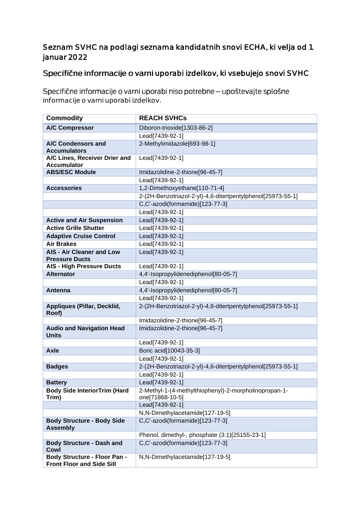#### Seznam SVHC na podlagi seznama kandidatnih snovi ECHA, ki velja od 1. januar 2022

### Specifične informacije o varni uporabi izdelkov, ki vsebujejo snovi SVHC

Specifične informacije o varni uporabi niso potrebne - upoštevajte splošne informacije o varni uporabi izdelkov.

| <b>Commodity</b>                                                        | <b>REACH SVHCs</b>                                          |
|-------------------------------------------------------------------------|-------------------------------------------------------------|
| <b>A/C Compressor</b>                                                   | Diboron-trioxide[1303-86-2]                                 |
|                                                                         | Lead[7439-92-1]                                             |
| A/C Condensors and                                                      | 2-Methylimidazole[693-98-1]                                 |
| <b>Accumulators</b>                                                     |                                                             |
| A/C Lines, Receiver Drier and                                           | Lead[7439-92-1]                                             |
| <b>Accumulator</b>                                                      |                                                             |
| <b>ABS/ESC Module</b>                                                   | Imidazolidine-2-thione[96-45-7]                             |
|                                                                         | Lead[7439-92-1]                                             |
| <b>Accessories</b>                                                      | 1,2-Dimethoxyethane[110-71-4]                               |
|                                                                         | 2-(2H-Benzotriazol-2-yl)-4,6-ditertpentylphenol[25973-55-1] |
|                                                                         | C,C'-azodi(formamide)[123-77-3]                             |
|                                                                         | Lead[7439-92-1]                                             |
| <b>Active and Air Suspension</b>                                        | Lead[7439-92-1]                                             |
| <b>Active Grille Shutter</b>                                            | Lead[7439-92-1]                                             |
| <b>Adaptive Cruise Control</b>                                          | Lead[7439-92-1]                                             |
| <b>Air Brakes</b>                                                       | Lead[7439-92-1]                                             |
| <b>AIS - Air Cleaner and Low</b>                                        | Lead[7439-92-1]                                             |
| <b>Pressure Ducts</b>                                                   |                                                             |
| <b>AIS - High Pressure Ducts</b>                                        | Lead[7439-92-1]                                             |
| <b>Alternator</b>                                                       | 4,4'-Isopropylidenediphenol[80-05-7]                        |
|                                                                         | Lead[7439-92-1]                                             |
| Antenna                                                                 | 4,4'-Isopropylidenediphenol[80-05-7]                        |
|                                                                         | Lead[7439-92-1]                                             |
| Appliques (Pillar, Decklid,                                             | 2-(2H-Benzotriazol-2-yl)-4,6-ditertpentylphenol[25973-55-1] |
| Roof)                                                                   |                                                             |
|                                                                         | Imidazolidine-2-thione[96-45-7]                             |
| <b>Audio and Navigation Head</b><br><b>Units</b>                        | Imidazolidine-2-thione[96-45-7]                             |
|                                                                         | Lead[7439-92-1]                                             |
| <b>Axle</b>                                                             | Boric acid[10043-35-3]                                      |
|                                                                         | Lead[7439-92-1]                                             |
| <b>Badges</b>                                                           | 2-(2H-Benzotriazol-2-yl)-4,6-ditertpentylphenol[25973-55-1] |
|                                                                         | Lead[7439-92-1]                                             |
|                                                                         | Lead[7439-92-1]                                             |
| <b>Battery</b>                                                          | 2-Methyl-1-(4-methylthiophenyl)-2-morpholinopropan-1-       |
| <b>Body Side InteriorTrim (Hard</b><br>Trim)                            | one[71868-10-5]                                             |
|                                                                         | Lead[7439-92-1]                                             |
|                                                                         | N,N-Dimethylacetamide[127-19-5]                             |
| <b>Body Structure - Body Side</b>                                       | C,C'-azodi(formamide)[123-77-3]                             |
| <b>Assembly</b>                                                         |                                                             |
|                                                                         | Phenol, dimethyl-, phosphate (3:1)[25155-23-1]              |
| <b>Body Structure - Dash and</b>                                        | C,C'-azodi(formamide)[123-77-3]                             |
| Cowl                                                                    |                                                             |
| <b>Body Structure - Floor Pan -</b><br><b>Front Floor and Side Sill</b> | N,N-Dimethylacetamide[127-19-5]                             |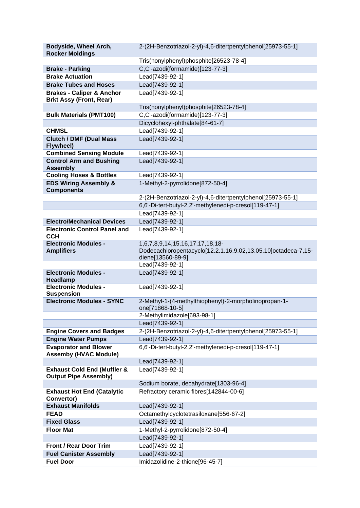| Bodyside, Wheel Arch,                                                  | 2-(2H-Benzotriazol-2-yl)-4,6-ditertpentylphenol[25973-55-1]                                                           |
|------------------------------------------------------------------------|-----------------------------------------------------------------------------------------------------------------------|
| <b>Rocker Moldings</b>                                                 |                                                                                                                       |
|                                                                        | Tris(nonylphenyl)phosphite[26523-78-4]                                                                                |
| <b>Brake - Parking</b>                                                 | C,C'-azodi(formamide)[123-77-3]                                                                                       |
| <b>Brake Actuation</b>                                                 | Lead[7439-92-1]                                                                                                       |
| <b>Brake Tubes and Hoses</b>                                           | Lead[7439-92-1]                                                                                                       |
| <b>Brakes - Caliper &amp; Anchor</b><br><b>Brkt Assy (Front, Rear)</b> | Lead[7439-92-1]                                                                                                       |
|                                                                        | Tris(nonylphenyl)phosphite[26523-78-4]                                                                                |
| <b>Bulk Materials (PMT100)</b>                                         | C,C'-azodi(formamide)[123-77-3]                                                                                       |
|                                                                        | Dicyclohexyl-phthalate[84-61-7]                                                                                       |
| <b>CHMSL</b>                                                           | Lead[7439-92-1]                                                                                                       |
| <b>Clutch / DMF (Dual Mass</b><br>Flywheel)                            | Lead[7439-92-1]                                                                                                       |
| <b>Combined Sensing Module</b>                                         | Lead[7439-92-1]                                                                                                       |
| <b>Control Arm and Bushing</b><br><b>Assembly</b>                      | Lead[7439-92-1]                                                                                                       |
| <b>Cooling Hoses &amp; Bottles</b>                                     | Lead[7439-92-1]                                                                                                       |
| <b>EDS Wiring Assembly &amp;</b><br><b>Components</b>                  | 1-Methyl-2-pyrrolidone[872-50-4]                                                                                      |
|                                                                        | 2-(2H-Benzotriazol-2-yl)-4,6-ditertpentylphenol[25973-55-1]                                                           |
|                                                                        | 6,6'-Di-tert-butyl-2,2'-methylenedi-p-cresol[119-47-1]                                                                |
|                                                                        | Lead[7439-92-1]                                                                                                       |
| <b>Electro/Mechanical Devices</b>                                      | Lead[7439-92-1]                                                                                                       |
| <b>Electronic Control Panel and</b><br><b>CCH</b>                      | Lead[7439-92-1]                                                                                                       |
| <b>Electronic Modules -</b><br><b>Amplifiers</b>                       | 1,6,7,8,9,14,15,16,17,17,18,18-<br>Dodecachloropentacyclo[12.2.1.16,9.02,13.05,10]octadeca-7,15-<br>diene[13560-89-9] |
|                                                                        | Lead[7439-92-1]                                                                                                       |
| <b>Electronic Modules -</b><br>Headlamp                                | Lead[7439-92-1]                                                                                                       |
| <b>Electronic Modules -</b><br><b>Suspension</b>                       | Lead[7439-92-1]                                                                                                       |
| <b>Electronic Modules - SYNC</b>                                       | 2-Methyl-1-(4-methylthiophenyl)-2-morpholinopropan-1-<br>one[71868-10-5]                                              |
|                                                                        | 2-Methylimidazole[693-98-1]                                                                                           |
|                                                                        | Lead[7439-92-1]                                                                                                       |
| <b>Engine Covers and Badges</b>                                        | 2-(2H-Benzotriazol-2-yl)-4,6-ditertpentylphenol[25973-55-1]                                                           |
| <b>Engine Water Pumps</b>                                              | Lead[7439-92-1]                                                                                                       |
| <b>Evaporator and Blower</b><br><b>Assemby (HVAC Module)</b>           | 6,6'-Di-tert-butyl-2,2'-methylenedi-p-cresol[119-47-1]                                                                |
|                                                                        | Lead[7439-92-1]                                                                                                       |
| <b>Exhaust Cold End (Muffler &amp;</b><br><b>Output Pipe Assembly)</b> | Lead[7439-92-1]                                                                                                       |
|                                                                        | Sodium borate, decahydrate[1303-96-4]                                                                                 |
| <b>Exhaust Hot End (Catalytic</b>                                      | Refractory ceramic fibres[142844-00-6]                                                                                |
| Convertor)<br><b>Exhaust Manifolds</b>                                 |                                                                                                                       |
| <b>FEAD</b>                                                            | Lead[7439-92-1]<br>Octamethylcyclotetrasiloxane[556-67-2]                                                             |
| <b>Fixed Glass</b>                                                     | Lead[7439-92-1]                                                                                                       |
| <b>Floor Mat</b>                                                       | 1-Methyl-2-pyrrolidone[872-50-4]                                                                                      |
|                                                                        | Lead[7439-92-1]                                                                                                       |
| <b>Front / Rear Door Trim</b>                                          | Lead[7439-92-1]                                                                                                       |
| <b>Fuel Canister Assembly</b>                                          | Lead[7439-92-1]                                                                                                       |
| <b>Fuel Door</b>                                                       | Imidazolidine-2-thione[96-45-7]                                                                                       |
|                                                                        |                                                                                                                       |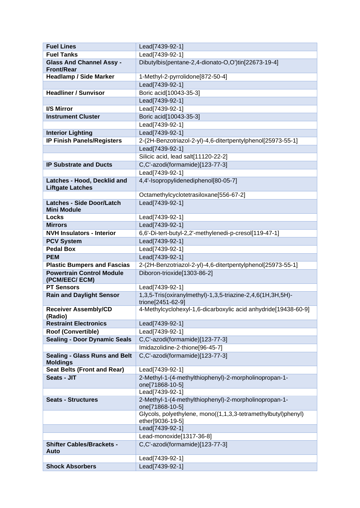| <b>Fuel Lines</b>                                       | Lead[7439-92-1]                                                                  |
|---------------------------------------------------------|----------------------------------------------------------------------------------|
| <b>Fuel Tanks</b>                                       | Lead[7439-92-1]                                                                  |
| <b>Glass And Channel Assy -</b>                         | Dibutylbis(pentane-2,4-dionato-O,O')tin[22673-19-4]                              |
| <b>Front/Rear</b>                                       |                                                                                  |
| <b>Headlamp / Side Marker</b>                           | 1-Methyl-2-pyrrolidone[872-50-4]                                                 |
|                                                         | Lead[7439-92-1]                                                                  |
| <b>Headliner / Sunvisor</b>                             | Boric acid[10043-35-3]                                                           |
|                                                         | Lead[7439-92-1]                                                                  |
| I/S Mirror                                              | Lead[7439-92-1]                                                                  |
| <b>Instrument Cluster</b>                               | Boric acid[10043-35-3]                                                           |
|                                                         | Lead[7439-92-1]                                                                  |
| <b>Interior Lighting</b>                                | Lead[7439-92-1]                                                                  |
| <b>IP Finish Panels/Registers</b>                       | 2-(2H-Benzotriazol-2-yl)-4,6-ditertpentylphenol[25973-55-1]                      |
|                                                         | Lead[7439-92-1]                                                                  |
|                                                         | Silicic acid, lead salt[11120-22-2]                                              |
| <b>IP Substrate and Ducts</b>                           | C,C'-azodi(formamide)[123-77-3]                                                  |
|                                                         | Lead[7439-92-1]                                                                  |
| Latches - Hood, Decklid and                             | 4,4'-Isopropylidenediphenol[80-05-7]                                             |
| <b>Liftgate Latches</b>                                 |                                                                                  |
|                                                         | Octamethylcyclotetrasiloxane[556-67-2]                                           |
| <b>Latches - Side Door/Latch</b>                        | Lead[7439-92-1]                                                                  |
| <b>Mini Module</b><br><b>Locks</b>                      | Lead[7439-92-1]                                                                  |
| <b>Mirrors</b>                                          | Lead[7439-92-1]                                                                  |
| <b>NVH Insulators - Interior</b>                        | 6,6'-Di-tert-butyl-2,2'-methylenedi-p-cresol[119-47-1]                           |
| <b>PCV System</b>                                       | Lead[7439-92-1]                                                                  |
| <b>Pedal Box</b>                                        | Lead[7439-92-1]                                                                  |
| <b>PEM</b>                                              | Lead[7439-92-1]                                                                  |
| <b>Plastic Bumpers and Fascias</b>                      | 2-(2H-Benzotriazol-2-yl)-4,6-ditertpentylphenol[25973-55-1]                      |
| <b>Powertrain Control Module</b>                        | Diboron-trioxide[1303-86-2]                                                      |
| (PCM/EEC/ ECM)                                          |                                                                                  |
| <b>PT Sensors</b>                                       | Lead[7439-92-1]                                                                  |
| <b>Rain and Daylight Sensor</b>                         | 1,3,5-Tris(oxiranylmethyl)-1,3,5-triazine-2,4,6(1H,3H,5H)-                       |
|                                                         | trione[2451-62-9]                                                                |
| <b>Receiver Assembly/CD</b>                             | 4-Methylcyclohexyl-1,6-dicarboxylic acid anhydride[19438-60-9]                   |
| (Radio)                                                 |                                                                                  |
| <b>Restraint Electronics</b>                            | Lead[7439-92-1]                                                                  |
| Roof (Convertible)                                      | Lead[7439-92-1]                                                                  |
| <b>Sealing - Door Dynamic Seals</b>                     | C,C'-azodi(formamide)[123-77-3]                                                  |
|                                                         | Imidazolidine-2-thione[96-45-7]                                                  |
| <b>Sealing - Glass Runs and Belt</b><br><b>Moldings</b> | C,C'-azodi(formamide)[123-77-3]                                                  |
| <b>Seat Belts (Front and Rear)</b>                      | Lead[7439-92-1]                                                                  |
| Seats - JIT                                             | 2-Methyl-1-(4-methylthiophenyl)-2-morpholinopropan-1-                            |
|                                                         | one[71868-10-5]                                                                  |
|                                                         | Lead[7439-92-1]                                                                  |
| <b>Seats - Structures</b>                               | 2-Methyl-1-(4-methylthiophenyl)-2-morpholinopropan-1-                            |
|                                                         | one[71868-10-5]<br>Glycols, polyethylene, mono((1,1,3,3-tetramethylbutyl)phenyl) |
|                                                         | ether[9036-19-5]                                                                 |
|                                                         | Lead[7439-92-1]                                                                  |
|                                                         | Lead-monoxide[1317-36-8]                                                         |
| <b>Shifter Cables/Brackets -</b>                        | C,C'-azodi(formamide)[123-77-3]                                                  |
| Auto                                                    |                                                                                  |
|                                                         | Lead[7439-92-1]                                                                  |
| <b>Shock Absorbers</b>                                  | Lead[7439-92-1]                                                                  |